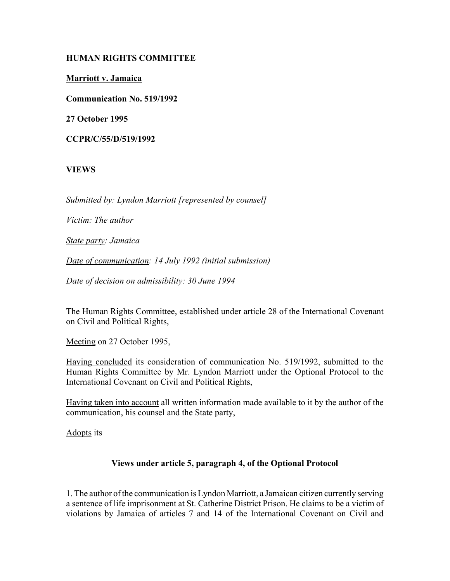### **HUMAN RIGHTS COMMITTEE**

**Marriott v. Jamaica**

**Communication No. 519/1992**

**27 October 1995**

**CCPR/C/55/D/519/1992**

# **VIEWS**

*Submitted by: Lyndon Marriott [represented by counsel]*

*Victim: The author*

*State party: Jamaica*

*Date of communication: 14 July 1992 (initial submission)*

*Date of decision on admissibility: 30 June 1994*

The Human Rights Committee, established under article 28 of the International Covenant on Civil and Political Rights,

Meeting on 27 October 1995,

Having concluded its consideration of communication No. 519/1992, submitted to the Human Rights Committee by Mr. Lyndon Marriott under the Optional Protocol to the International Covenant on Civil and Political Rights,

Having taken into account all written information made available to it by the author of the communication, his counsel and the State party,

Adopts its

#### **Views under article 5, paragraph 4, of the Optional Protocol**

1. The author of the communication is Lyndon Marriott, a Jamaican citizen currently serving a sentence of life imprisonment at St. Catherine District Prison. He claims to be a victim of violations by Jamaica of articles 7 and 14 of the International Covenant on Civil and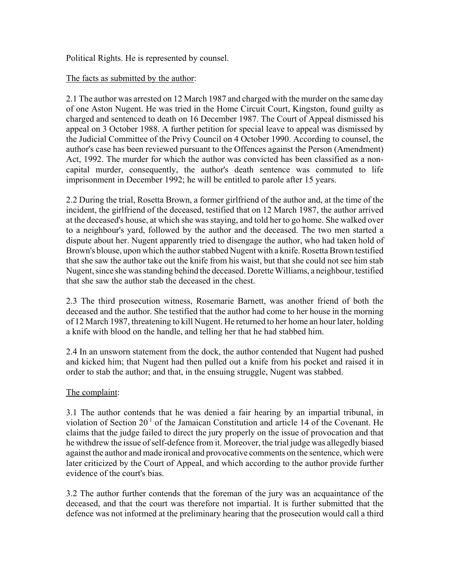Political Rights. He is represented by counsel.

# The facts as submitted by the author:

2.1 The author was arrested on 12 March 1987 and charged with the murder on the same day of one Aston Nugent. He was tried in the Home Circuit Court, Kingston, found guilty as charged and sentenced to death on 16 December 1987. The Court of Appeal dismissed his appeal on 3 October 1988. A further petition for special leave to appeal was dismissed by the Judicial Committee of the Privy Council on 4 October 1990. According to counsel, the author's case has been reviewed pursuant to the Offences against the Person (Amendment) Act, 1992. The murder for which the author was convicted has been classified as a noncapital murder, consequently, the author's death sentence was commuted to life imprisonment in December 1992; he will be entitled to parole after 15 years.

2.2 During the trial, Rosetta Brown, a former girlfriend of the author and, at the time of the incident, the girlfriend of the deceased, testified that on 12 March 1987, the author arrived at the deceased's house, at which she was staying, and told her to go home. She walked over to a neighbour's yard, followed by the author and the deceased. The two men started a dispute about her. Nugent apparently tried to disengage the author, who had taken hold of Brown's blouse, upon which the author stabbed Nugent with a knife. Rosetta Brown testified that she saw the author take out the knife from his waist, but that she could not see him stab Nugent, since she was standing behind the deceased. Dorette Williams, a neighbour, testified that she saw the author stab the deceased in the chest.

2.3 The third prosecution witness, Rosemarie Barnett, was another friend of both the deceased and the author. She testified that the author had come to her house in the morning of 12 March 1987, threatening to kill Nugent. He returned to her home an hour later, holding a knife with blood on the handle, and telling her that he had stabbed him.

2.4 In an unsworn statement from the dock, the author contended that Nugent had pushed and kicked him; that Nugent had then pulled out a knife from his pocket and raised it in order to stab the author; and that, in the ensuing struggle, Nugent was stabbed.

# The complaint:

3.1 The author contends that he was denied a fair hearing by an impartial tribunal, in violation of Section  $20<sup>1</sup>$  of the Jamaican Constitution and article 14 of the Covenant. He claims that the judge failed to direct the jury properly on the issue of provocation and that he withdrew the issue of self-defence from it. Moreover, the trial judge was allegedly biased against the author and made ironical and provocative comments on the sentence, which were later criticized by the Court of Appeal, and which according to the author provide further evidence of the court's bias.

3.2 The author further contends that the foreman of the jury was an acquaintance of the deceased, and that the court was therefore not impartial. It is further submitted that the defence was not informed at the preliminary hearing that the prosecution would call a third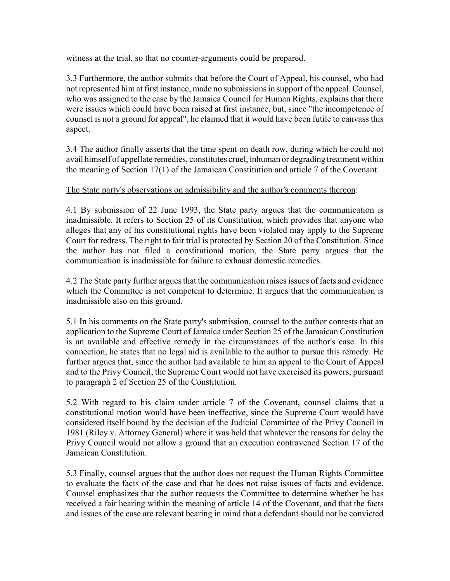witness at the trial, so that no counter-arguments could be prepared.

3.3 Furthermore, the author submits that before the Court of Appeal, his counsel, who had not represented him at first instance, made no submissions in support of the appeal. Counsel, who was assigned to the case by the Jamaica Council for Human Rights, explains that there were issues which could have been raised at first instance, but, since "the incompetence of counsel is not a ground for appeal", he claimed that it would have been futile to canvass this aspect.

3.4 The author finally asserts that the time spent on death row, during which he could not avail himself of appellate remedies, constitutes cruel, inhuman or degrading treatment within the meaning of Section 17(1) of the Jamaican Constitution and article 7 of the Covenant.

# The State party's observations on admissibility and the author's comments thereon:

4.1 By submission of 22 June 1993, the State party argues that the communication is inadmissible. It refers to Section 25 of its Constitution, which provides that anyone who alleges that any of his constitutional rights have been violated may apply to the Supreme Court for redress. The right to fair trial is protected by Section 20 of the Constitution. Since the author has not filed a constitutional motion, the State party argues that the communication is inadmissible for failure to exhaust domestic remedies.

4.2 The State party further argues that the communication raises issues of facts and evidence which the Committee is not competent to determine. It argues that the communication is inadmissible also on this ground.

5.1 In his comments on the State party's submission, counsel to the author contests that an application to the Supreme Court of Jamaica under Section 25 of the Jamaican Constitution is an available and effective remedy in the circumstances of the author's case. In this connection, he states that no legal aid is available to the author to pursue this remedy. He further argues that, since the author had available to him an appeal to the Court of Appeal and to the Privy Council, the Supreme Court would not have exercised its powers, pursuant to paragraph 2 of Section 25 of the Constitution.

5.2 With regard to his claim under article 7 of the Covenant, counsel claims that a constitutional motion would have been ineffective, since the Supreme Court would have considered itself bound by the decision of the Judicial Committee of the Privy Council in 1981 (Riley v. Attorney General) where it was held that whatever the reasons for delay the Privy Council would not allow a ground that an execution contravened Section 17 of the Jamaican Constitution.

5.3 Finally, counsel argues that the author does not request the Human Rights Committee to evaluate the facts of the case and that he does not raise issues of facts and evidence. Counsel emphasizes that the author requests the Committee to determine whether he has received a fair hearing within the meaning of article 14 of the Covenant, and that the facts and issues of the case are relevant bearing in mind that a defendant should not be convicted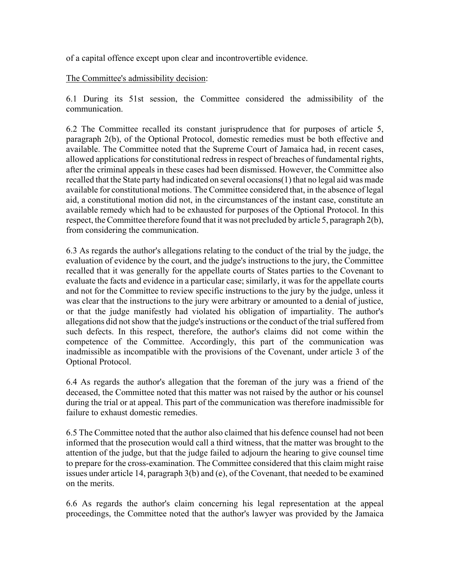of a capital offence except upon clear and incontrovertible evidence.

#### The Committee's admissibility decision:

6.1 During its 51st session, the Committee considered the admissibility of the communication.

6.2 The Committee recalled its constant jurisprudence that for purposes of article 5, paragraph 2(b), of the Optional Protocol, domestic remedies must be both effective and available. The Committee noted that the Supreme Court of Jamaica had, in recent cases, allowed applications for constitutional redress in respect of breaches of fundamental rights, after the criminal appeals in these cases had been dismissed. However, the Committee also recalled that the State party had indicated on several occasions(1) that no legal aid was made available for constitutional motions. The Committee considered that, in the absence of legal aid, a constitutional motion did not, in the circumstances of the instant case, constitute an available remedy which had to be exhausted for purposes of the Optional Protocol. In this respect, the Committee therefore found that it was not precluded by article 5, paragraph 2(b), from considering the communication.

6.3 As regards the author's allegations relating to the conduct of the trial by the judge, the evaluation of evidence by the court, and the judge's instructions to the jury, the Committee recalled that it was generally for the appellate courts of States parties to the Covenant to evaluate the facts and evidence in a particular case; similarly, it was for the appellate courts and not for the Committee to review specific instructions to the jury by the judge, unless it was clear that the instructions to the jury were arbitrary or amounted to a denial of justice, or that the judge manifestly had violated his obligation of impartiality. The author's allegations did not show that the judge's instructions or the conduct of the trial suffered from such defects. In this respect, therefore, the author's claims did not come within the competence of the Committee. Accordingly, this part of the communication was inadmissible as incompatible with the provisions of the Covenant, under article 3 of the Optional Protocol.

6.4 As regards the author's allegation that the foreman of the jury was a friend of the deceased, the Committee noted that this matter was not raised by the author or his counsel during the trial or at appeal. This part of the communication was therefore inadmissible for failure to exhaust domestic remedies.

6.5 The Committee noted that the author also claimed that his defence counsel had not been informed that the prosecution would call a third witness, that the matter was brought to the attention of the judge, but that the judge failed to adjourn the hearing to give counsel time to prepare for the cross-examination. The Committee considered that this claim might raise issues under article 14, paragraph 3(b) and (e), of the Covenant, that needed to be examined on the merits.

6.6 As regards the author's claim concerning his legal representation at the appeal proceedings, the Committee noted that the author's lawyer was provided by the Jamaica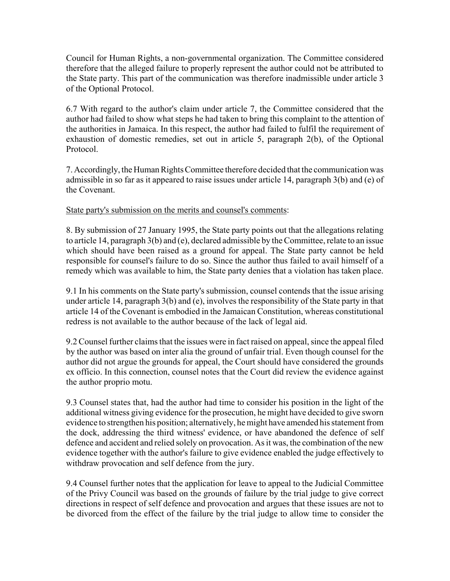Council for Human Rights, a non-governmental organization. The Committee considered therefore that the alleged failure to properly represent the author could not be attributed to the State party. This part of the communication was therefore inadmissible under article 3 of the Optional Protocol.

6.7 With regard to the author's claim under article 7, the Committee considered that the author had failed to show what steps he had taken to bring this complaint to the attention of the authorities in Jamaica. In this respect, the author had failed to fulfil the requirement of exhaustion of domestic remedies, set out in article 5, paragraph 2(b), of the Optional Protocol.

7. Accordingly, the Human Rights Committee therefore decided that the communication was admissible in so far as it appeared to raise issues under article 14, paragraph 3(b) and (e) of the Covenant.

#### State party's submission on the merits and counsel's comments:

8. By submission of 27 January 1995, the State party points out that the allegations relating to article 14, paragraph 3(b) and (e), declared admissible by the Committee, relate to an issue which should have been raised as a ground for appeal. The State party cannot be held responsible for counsel's failure to do so. Since the author thus failed to avail himself of a remedy which was available to him, the State party denies that a violation has taken place.

9.1 In his comments on the State party's submission, counsel contends that the issue arising under article 14, paragraph 3(b) and (e), involves the responsibility of the State party in that article 14 of the Covenant is embodied in the Jamaican Constitution, whereas constitutional redress is not available to the author because of the lack of legal aid.

9.2 Counsel further claims that the issues were in fact raised on appeal, since the appeal filed by the author was based on inter alia the ground of unfair trial. Even though counsel for the author did not argue the grounds for appeal, the Court should have considered the grounds ex officio. In this connection, counsel notes that the Court did review the evidence against the author proprio motu.

9.3 Counsel states that, had the author had time to consider his position in the light of the additional witness giving evidence for the prosecution, he might have decided to give sworn evidence to strengthen his position; alternatively, he might have amended his statement from the dock, addressing the third witness' evidence, or have abandoned the defence of self defence and accident and relied solely on provocation. As it was, the combination of the new evidence together with the author's failure to give evidence enabled the judge effectively to withdraw provocation and self defence from the jury.

9.4 Counsel further notes that the application for leave to appeal to the Judicial Committee of the Privy Council was based on the grounds of failure by the trial judge to give correct directions in respect of self defence and provocation and argues that these issues are not to be divorced from the effect of the failure by the trial judge to allow time to consider the